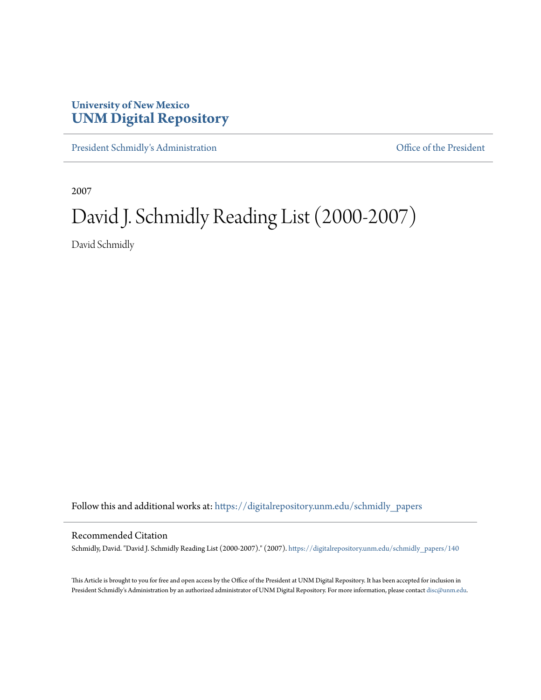## **University of New Mexico [UNM Digital Repository](https://digitalrepository.unm.edu?utm_source=digitalrepository.unm.edu%2Fschmidly_papers%2F140&utm_medium=PDF&utm_campaign=PDFCoverPages)**

[President Schmidly's Administration](https://digitalrepository.unm.edu/schmidly_papers?utm_source=digitalrepository.unm.edu%2Fschmidly_papers%2F140&utm_medium=PDF&utm_campaign=PDFCoverPages) [Office of the President](https://digitalrepository.unm.edu/ofc_president?utm_source=digitalrepository.unm.edu%2Fschmidly_papers%2F140&utm_medium=PDF&utm_campaign=PDFCoverPages)

2007

# David J. Schmidly Reading List (2000-2007)

David Schmidly

Follow this and additional works at: [https://digitalrepository.unm.edu/schmidly\\_papers](https://digitalrepository.unm.edu/schmidly_papers?utm_source=digitalrepository.unm.edu%2Fschmidly_papers%2F140&utm_medium=PDF&utm_campaign=PDFCoverPages)

#### Recommended Citation

Schmidly, David. "David J. Schmidly Reading List (2000-2007)." (2007). [https://digitalrepository.unm.edu/schmidly\\_papers/140](https://digitalrepository.unm.edu/schmidly_papers/140?utm_source=digitalrepository.unm.edu%2Fschmidly_papers%2F140&utm_medium=PDF&utm_campaign=PDFCoverPages)

This Article is brought to you for free and open access by the Office of the President at UNM Digital Repository. It has been accepted for inclusion in President Schmidly's Administration by an authorized administrator of UNM Digital Repository. For more information, please contact [disc@unm.edu](mailto:disc@unm.edu).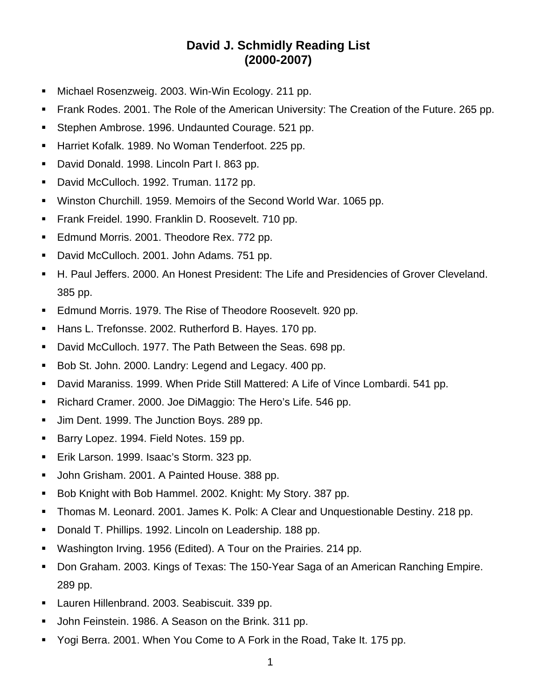## **David J. Schmidly Reading List (2000-2007)**

- **Michael Rosenzweig. 2003. Win-Win Ecology. 211 pp.**
- Frank Rodes. 2001. The Role of the American University: The Creation of the Future. 265 pp.
- **Stephen Ambrose. 1996. Undaunted Courage. 521 pp.**
- Harriet Kofalk. 1989. No Woman Tenderfoot. 225 pp.
- David Donald. 1998. Lincoln Part I. 863 pp.
- David McCulloch. 1992. Truman. 1172 pp.
- Winston Churchill. 1959. Memoirs of the Second World War. 1065 pp.
- **Frank Freidel. 1990. Franklin D. Roosevelt. 710 pp.**
- **Edmund Morris. 2001. Theodore Rex. 772 pp.**
- David McCulloch. 2001. John Adams. 751 pp.
- H. Paul Jeffers. 2000. An Honest President: The Life and Presidencies of Grover Cleveland. 385 pp.
- **Edmund Morris. 1979. The Rise of Theodore Roosevelt. 920 pp.**
- Hans L. Trefonsse. 2002. Rutherford B. Hayes. 170 pp.
- David McCulloch. 1977. The Path Between the Seas. 698 pp.
- Bob St. John. 2000. Landry: Legend and Legacy. 400 pp.
- David Maraniss. 1999. When Pride Still Mattered: A Life of Vince Lombardi. 541 pp.
- Richard Cramer. 2000. Joe DiMaggio: The Hero's Life. 546 pp.
- Um Dent. 1999. The Junction Boys. 289 pp.
- Barry Lopez. 1994. Field Notes. 159 pp.
- **Erik Larson. 1999. Isaac's Storm. 323 pp.**
- **John Grisham. 2001. A Painted House. 388 pp.**
- Bob Knight with Bob Hammel. 2002. Knight: My Story. 387 pp.
- Thomas M. Leonard. 2001. James K. Polk: A Clear and Unquestionable Destiny. 218 pp.
- Donald T. Phillips. 1992. Lincoln on Leadership. 188 pp.
- Washington Irving. 1956 (Edited). A Tour on the Prairies. 214 pp.
- Don Graham. 2003. Kings of Texas: The 150-Year Saga of an American Ranching Empire. 289 pp.
- **Lauren Hillenbrand. 2003. Seabiscuit. 339 pp.**
- John Feinstein. 1986. A Season on the Brink. 311 pp.
- Yogi Berra. 2001. When You Come to A Fork in the Road, Take It. 175 pp.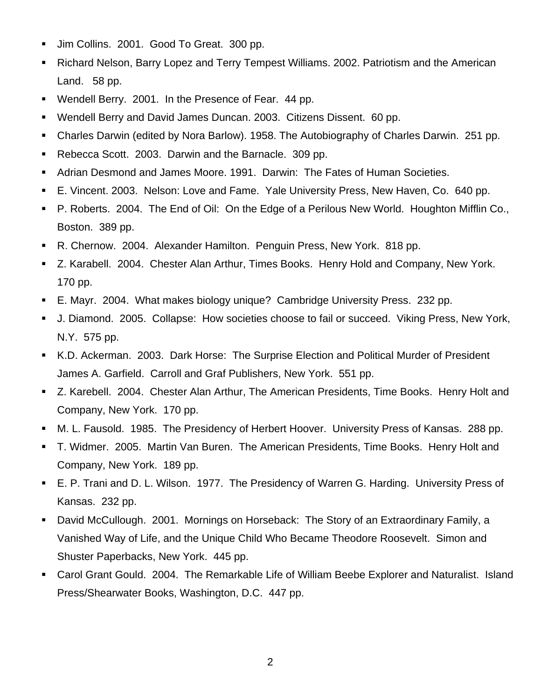- Um Collins. 2001. Good To Great. 300 pp.
- Richard Nelson, Barry Lopez and Terry Tempest Williams. 2002. Patriotism and the American Land. 58 pp.
- Wendell Berry. 2001. In the Presence of Fear. 44 pp.
- Wendell Berry and David James Duncan. 2003. Citizens Dissent. 60 pp.
- Charles Darwin (edited by Nora Barlow). 1958. The Autobiography of Charles Darwin. 251 pp.
- Rebecca Scott. 2003. Darwin and the Barnacle. 309 pp.
- Adrian Desmond and James Moore. 1991. Darwin: The Fates of Human Societies.
- E. Vincent. 2003. Nelson: Love and Fame. Yale University Press, New Haven, Co. 640 pp.
- P. Roberts. 2004. The End of Oil: On the Edge of a Perilous New World. Houghton Mifflin Co., Boston. 389 pp.
- R. Chernow. 2004. Alexander Hamilton. Penguin Press, New York. 818 pp.
- Z. Karabell. 2004. Chester Alan Arthur, Times Books. Henry Hold and Company, New York. 170 pp.
- E. Mayr. 2004. What makes biology unique? Cambridge University Press. 232 pp.
- J. Diamond. 2005. Collapse: How societies choose to fail or succeed. Viking Press, New York, N.Y. 575 pp.
- K.D. Ackerman. 2003. Dark Horse: The Surprise Election and Political Murder of President James A. Garfield. Carroll and Graf Publishers, New York. 551 pp.
- Z. Karebell. 2004. Chester Alan Arthur, The American Presidents, Time Books. Henry Holt and Company, New York. 170 pp.
- M. L. Fausold. 1985. The Presidency of Herbert Hoover. University Press of Kansas. 288 pp.
- T. Widmer. 2005. Martin Van Buren. The American Presidents, Time Books. Henry Holt and Company, New York. 189 pp.
- E. P. Trani and D. L. Wilson. 1977. The Presidency of Warren G. Harding. University Press of Kansas. 232 pp.
- David McCullough. 2001. Mornings on Horseback: The Story of an Extraordinary Family, a Vanished Way of Life, and the Unique Child Who Became Theodore Roosevelt. Simon and Shuster Paperbacks, New York. 445 pp.
- Carol Grant Gould. 2004. The Remarkable Life of William Beebe Explorer and Naturalist. Island Press/Shearwater Books, Washington, D.C. 447 pp.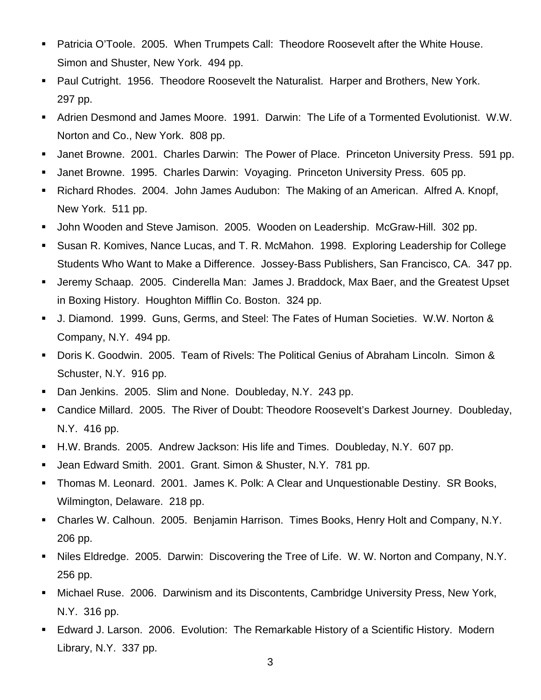- Patricia O'Toole. 2005. When Trumpets Call: Theodore Roosevelt after the White House. Simon and Shuster, New York. 494 pp.
- Paul Cutright. 1956. Theodore Roosevelt the Naturalist. Harper and Brothers, New York. 297 pp.
- Adrien Desmond and James Moore. 1991. Darwin: The Life of a Tormented Evolutionist. W.W. Norton and Co., New York. 808 pp.
- Janet Browne. 2001. Charles Darwin: The Power of Place. Princeton University Press. 591 pp.
- Janet Browne. 1995. Charles Darwin: Voyaging. Princeton University Press. 605 pp.
- Richard Rhodes. 2004. John James Audubon: The Making of an American. Alfred A. Knopf, New York. 511 pp.
- **John Wooden and Steve Jamison. 2005. Wooden on Leadership. McGraw-Hill. 302 pp.**
- Susan R. Komives, Nance Lucas, and T. R. McMahon. 1998. Exploring Leadership for College Students Who Want to Make a Difference. Jossey-Bass Publishers, San Francisco, CA. 347 pp.
- Jeremy Schaap. 2005. Cinderella Man: James J. Braddock, Max Baer, and the Greatest Upset in Boxing History. Houghton Mifflin Co. Boston. 324 pp.
- J. Diamond. 1999. Guns, Germs, and Steel: The Fates of Human Societies. W.W. Norton & Company, N.Y. 494 pp.
- Doris K. Goodwin. 2005. Team of Rivels: The Political Genius of Abraham Lincoln. Simon & Schuster, N.Y. 916 pp.
- Dan Jenkins. 2005. Slim and None. Doubleday, N.Y. 243 pp.
- Candice Millard. 2005. The River of Doubt: Theodore Roosevelt's Darkest Journey. Doubleday, N.Y. 416 pp.
- H.W. Brands. 2005. Andrew Jackson: His life and Times. Doubleday, N.Y. 607 pp.
- Jean Edward Smith. 2001. Grant. Simon & Shuster, N.Y. 781 pp.
- Thomas M. Leonard. 2001. James K. Polk: A Clear and Unquestionable Destiny. SR Books, Wilmington, Delaware. 218 pp.
- Charles W. Calhoun. 2005. Benjamin Harrison. Times Books, Henry Holt and Company, N.Y. 206 pp.
- Niles Eldredge. 2005. Darwin: Discovering the Tree of Life. W. W. Norton and Company, N.Y. 256 pp.
- Michael Ruse. 2006. Darwinism and its Discontents, Cambridge University Press, New York, N.Y. 316 pp.
- Edward J. Larson. 2006. Evolution: The Remarkable History of a Scientific History. Modern Library, N.Y. 337 pp.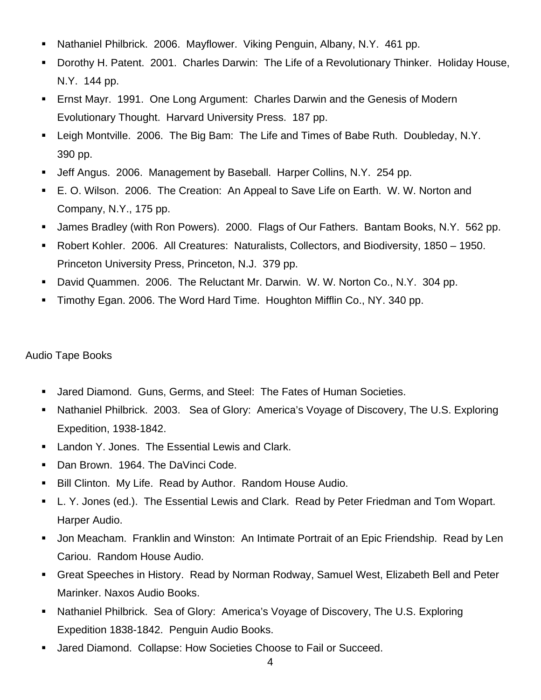- Nathaniel Philbrick. 2006. Mayflower. Viking Penguin, Albany, N.Y. 461 pp.
- Dorothy H. Patent. 2001. Charles Darwin: The Life of a Revolutionary Thinker. Holiday House, N.Y. 144 pp.
- Ernst Mayr. 1991. One Long Argument: Charles Darwin and the Genesis of Modern Evolutionary Thought. Harvard University Press. 187 pp.
- Leigh Montville. 2006. The Big Bam: The Life and Times of Babe Ruth. Doubleday, N.Y. 390 pp.
- Jeff Angus. 2006. Management by Baseball. Harper Collins, N.Y. 254 pp.
- E. O. Wilson. 2006. The Creation: An Appeal to Save Life on Earth. W. W. Norton and Company, N.Y., 175 pp.
- James Bradley (with Ron Powers). 2000. Flags of Our Fathers. Bantam Books, N.Y. 562 pp.
- Robert Kohler. 2006. All Creatures: Naturalists, Collectors, and Biodiversity, 1850 1950. Princeton University Press, Princeton, N.J. 379 pp.
- David Quammen. 2006. The Reluctant Mr. Darwin. W. W. Norton Co., N.Y. 304 pp.
- Timothy Egan. 2006. The Word Hard Time. Houghton Mifflin Co., NY. 340 pp.

### Audio Tape Books

- Jared Diamond. Guns, Germs, and Steel: The Fates of Human Societies.
- Nathaniel Philbrick. 2003. Sea of Glory: America's Voyage of Discovery, The U.S. Exploring Expedition, 1938-1842.
- **Landon Y. Jones. The Essential Lewis and Clark.**
- **Dan Brown. 1964. The DaVinci Code.**
- Bill Clinton. My Life. Read by Author. Random House Audio.
- L. Y. Jones (ed.). The Essential Lewis and Clark. Read by Peter Friedman and Tom Wopart. Harper Audio.
- Jon Meacham. Franklin and Winston: An Intimate Portrait of an Epic Friendship. Read by Len Cariou. Random House Audio.
- Great Speeches in History. Read by Norman Rodway, Samuel West, Elizabeth Bell and Peter Marinker. Naxos Audio Books.
- Nathaniel Philbrick. Sea of Glory: America's Voyage of Discovery, The U.S. Exploring Expedition 1838-1842. Penguin Audio Books.
- **Jared Diamond. Collapse: How Societies Choose to Fail or Succeed.**